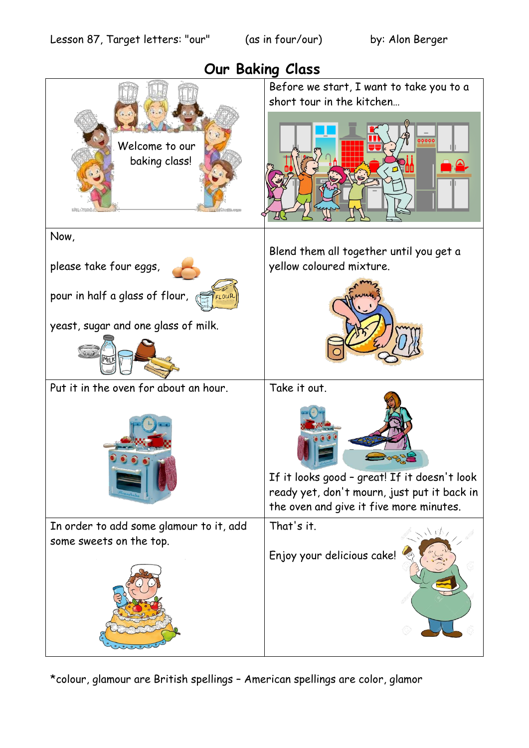

\*colour, glamour are British spellings – American spellings are color, glamor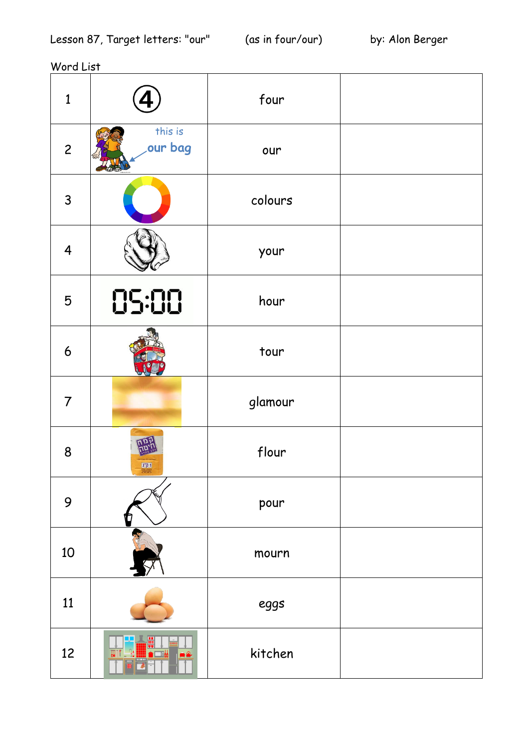Word List

| $\mathbf{1}$            |                         | four    |  |
|-------------------------|-------------------------|---------|--|
| $\overline{c}$          | this is<br>our bag      | our     |  |
| $\mathsf{3}$            |                         | colours |  |
| $\overline{\mathbf{4}}$ |                         | your    |  |
| 5                       | 05:00                   | hour    |  |
| $6\phantom{1}6$         |                         | tour    |  |
| $\overline{7}$          |                         | glamour |  |
| 8                       | 1"71<br><b>Stelling</b> | flour   |  |
| 9                       |                         | pour    |  |
| 10                      |                         | mourn   |  |
| 11                      |                         | eggs    |  |
| 12                      |                         | kitchen |  |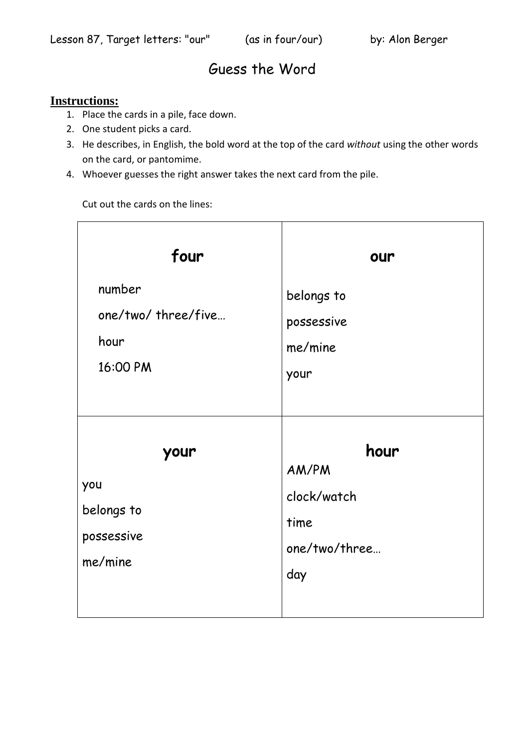## Guess the Word

## **Instructions:**

- 1. Place the cards in a pile, face down.
- 2. One student picks a card.
- 3. He describes, in English, the bold word at the top of the card *without* using the other words on the card, or pantomime.
- 4. Whoever guesses the right answer takes the next card from the pile.

Cut out the cards on the lines:

| four                                               | our                                                          |
|----------------------------------------------------|--------------------------------------------------------------|
| number<br>one/two/three/five<br>hour<br>16:00 PM   | belongs to<br>possessive<br>me/mine<br>your                  |
| your<br>you<br>belongs to<br>possessive<br>me/mine | hour<br>AM/PM<br>clock/watch<br>time<br>one/two/three<br>day |